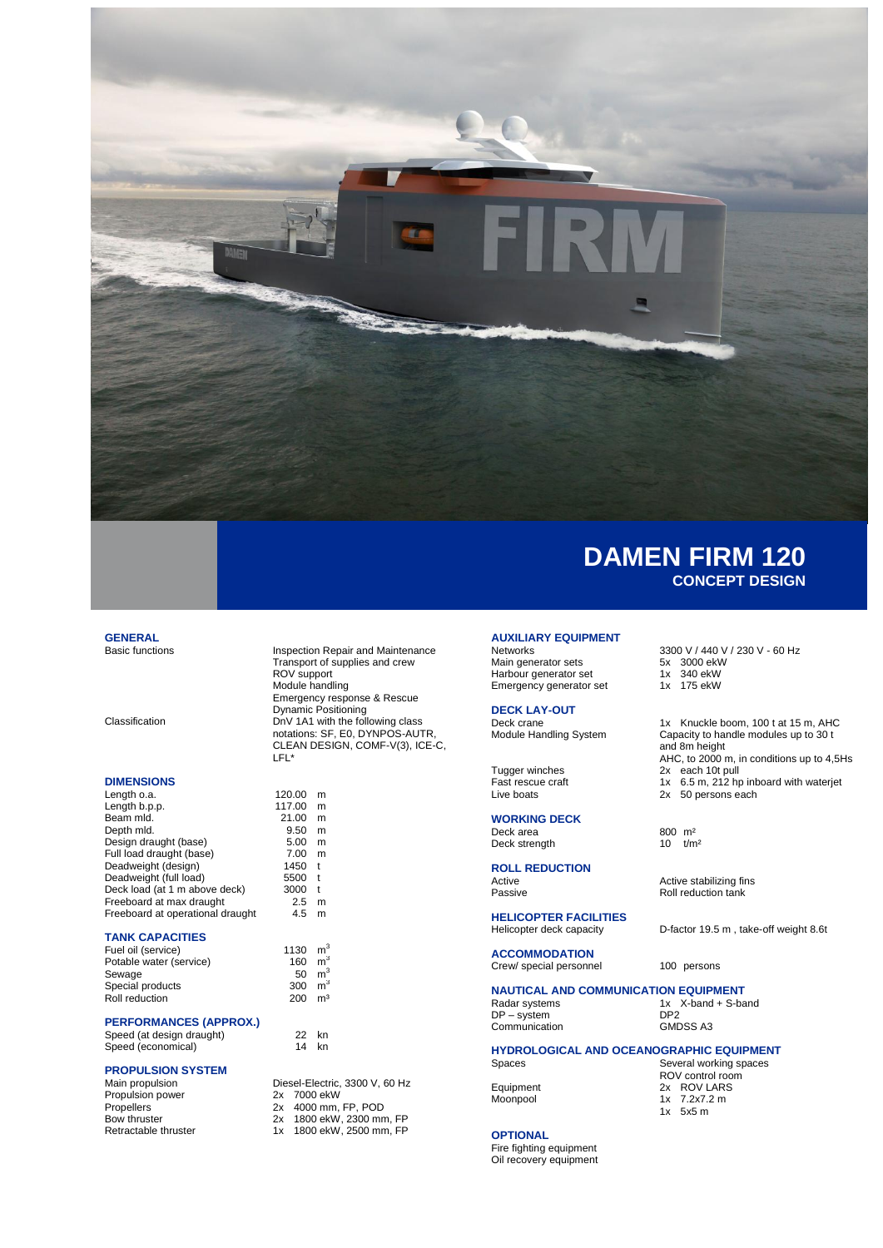

## **GENERAL**<br>Basic functions

#### **DIMENSIONS**

| Length o.a.                      | 120.00 | m |
|----------------------------------|--------|---|
| Length b.p.p.                    | 117.00 | m |
| Beam mld.                        | 21.00  | m |
| Depth mld.                       | 9.50   | m |
| Design draught (base)            | 5.00   | m |
| Full load draught (base)         | 7.00   | m |
| Deadweight (design)              | 1450   | t |
| Deadweight (full load)           | 5500   | t |
| Deck load (at 1 m above deck)    | 3000   | t |
| Freeboard at max draught         | 2.5    | m |
| Freeboard at operational draught | 4.5    | m |
|                                  |        |   |

### **TANK CAPACITIES**

| Fuel oil (service)      | 1130 $m^3$ |                |
|-------------------------|------------|----------------|
| Potable water (service) | 160        | m <sup>3</sup> |
| Sewage                  | 50         | m <sup>3</sup> |
| Special products        | 300        | m <sup>3</sup> |
| Roll reduction          | 200        | m <sup>3</sup> |

#### **PERFORMANCES (APPROX.)**

Speed (at design draught) 22 kn<br>Speed (economical) 14 kn

 $m<sup>3</sup>$ 

1800 ekW, 2500 mm, FP

#### **PROPULSION SYSTEM**

Speed (economical)

| Main propulsion      | Diesel-Electric, 3300 V, 60 Hz |
|----------------------|--------------------------------|
| Propulsion power     | 2x 7000 ekW                    |
| <b>Propellers</b>    | 2x 4000 mm, FP, POD            |
| Bow thruster         | 2x 1800 ekW, 2300 mm, FP       |
| Retractable thruster | 1x 1800 ekW, 2500 mm, FP       |

Transport of supplies and crew ROV support Module handling Emergency response & Rescue Dynamic Positioning Classification DnV 1A1 with the following class notations: SF, E0, DYNPOS-AUTR, CLEAN DESIGN, COMF-V(3), ICE-C, LFL\*

Inspection Repair and Maintenance

## **ROLL REDUCTION**

**WORKING DECK**

Deck strength

**HELICOPTER FACILITIES** Helicopter deck capacity D-factor 19.5 m , take-off weight 8.6t

**AUXILIARY EQUIPMENT**

Emergency generator set

**DECK LAY-OUT**

**ACCOMMODATION** Crew/ special personnel 100 persons

## **NAUTICAL AND COMMUNICATION EQUIPMENT**<br>Radar systems 1x X-band + S-ba

DP – system DP2 Communication

 $1x$  X-band + S-band DP2

## **HYDROLOGICAL AND OCEANOGRAPHIC EQUIPMENT**<br>Several working spaces

#### **OPTIONAL**

Fire fighting equipment Oil recovery equipment

# 3300 V / 440 V / 230 V - 60 Hz<br>5x 3000 ekW

Main generator sets 5x 3000 ekW<br>Harbour generator set 1x 340 ekW

- Harbour generator set 1x 340 ekW<br>Emergency generator set 1x 175 ekW
	-

Deck crane 1x Knuckle boom, 100 t at 15 m, AHC<br>Module Handling System Capacity to handle modules up to 30 t Capacity to handle modules up to 30 t and 8m height AHC, to 2000 m, in conditions up to 4,5Hs Tugger winches<br>
Fast rescue craft<br>
Tax 6.5 m, 212 hpm Fast rescue craft 1x 6.5 m, 212 hp inboard with waterjet<br>Live boats 2x 50 persons each 2x 50 persons each

Deck area  $800 \text{ m}^2$ <br>Deck strength  $10 \text{ t/m}^2$ 

Active Active Active stabilizing fins<br>
Passive Roll reduction tank Roll reduction tank

Several working spaces ROV control room Equipment 2x ROV LARS<br>Moonpool 1x 7.2x7.2 m  $1x$  7.2x7.2 m  $1x + 5x5$  m